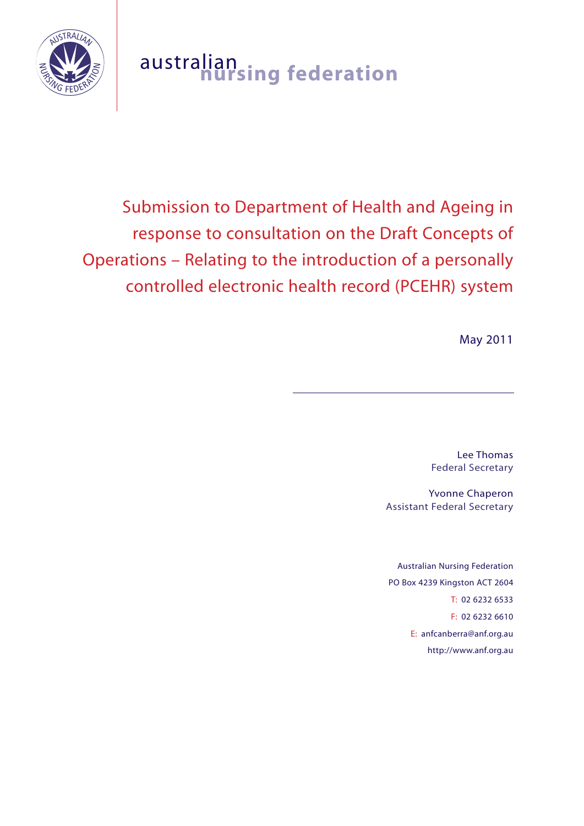

# australian **nursing federation**

# Submission to Department of Health and Ageing in response to consultation on the Draft Concepts of Operations – Relating to the introduction of a personally controlled electronic health record (PCEHR) system

May 2011

Lee Thomas Federal Secretary

Yvonne Chaperon Assistant Federal Secretary

Australian Nursing Federation PO Box 4239 Kingston ACT 2604 T: 02 6232 6533 F: 02 6232 6610 E: anfcanberra@anf.org.au http://www.anf.org.au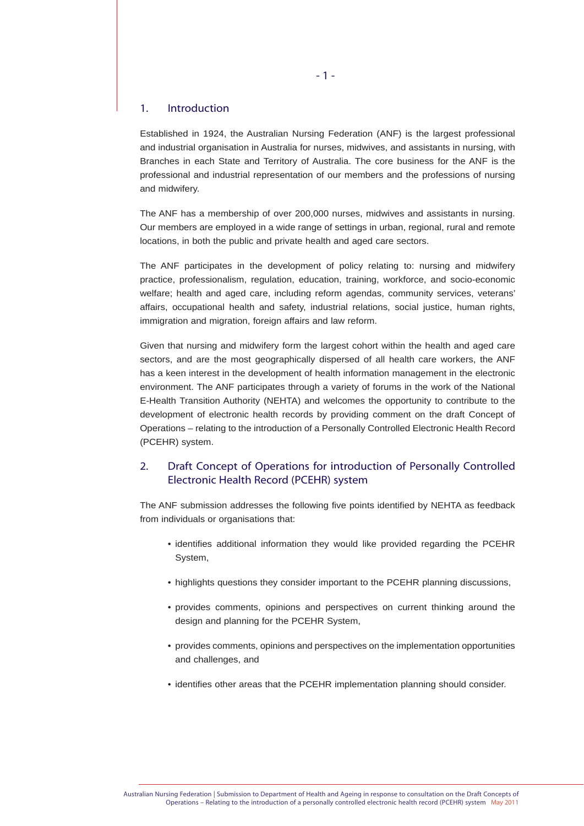### 1. Introduction

Established in 1924, the Australian Nursing Federation (ANF) is the largest professional and industrial organisation in Australia for nurses, midwives, and assistants in nursing, with Branches in each State and Territory of Australia. The core business for the ANF is the professional and industrial representation of our members and the professions of nursing and midwifery.

The ANF has a membership of over 200,000 nurses, midwives and assistants in nursing. Our members are employed in a wide range of settings in urban, regional, rural and remote locations, in both the public and private health and aged care sectors.

The ANF participates in the development of policy relating to: nursing and midwifery practice, professionalism, regulation, education, training, workforce, and socio-economic welfare; health and aged care, including reform agendas, community services, veterans' affairs, occupational health and safety, industrial relations, social justice, human rights, immigration and migration, foreign affairs and law reform.

Given that nursing and midwifery form the largest cohort within the health and aged care sectors, and are the most geographically dispersed of all health care workers, the ANF has a keen interest in the development of health information management in the electronic environment. The ANF participates through a variety of forums in the work of the National E-Health Transition Authority (NEHTA) and welcomes the opportunity to contribute to the development of electronic health records by providing comment on the draft Concept of Operations – relating to the introduction of a Personally Controlled Electronic Health Record (PCEHR) system.

# 2. Draft Concept of Operations for introduction of Personally Controlled Electronic Health Record (PCEHR) system

The ANF submission addresses the following five points identified by NEHTA as feedback from individuals or organisations that:

- identifies additional information they would like provided regarding the PCEHR System,
- highlights questions they consider important to the PCEHR planning discussions,
- provides comments, opinions and perspectives on current thinking around the design and planning for the PCEHR System,
- provides comments, opinions and perspectives on the implementation opportunities and challenges, and
- identifies other areas that the PCEHR implementation planning should consider.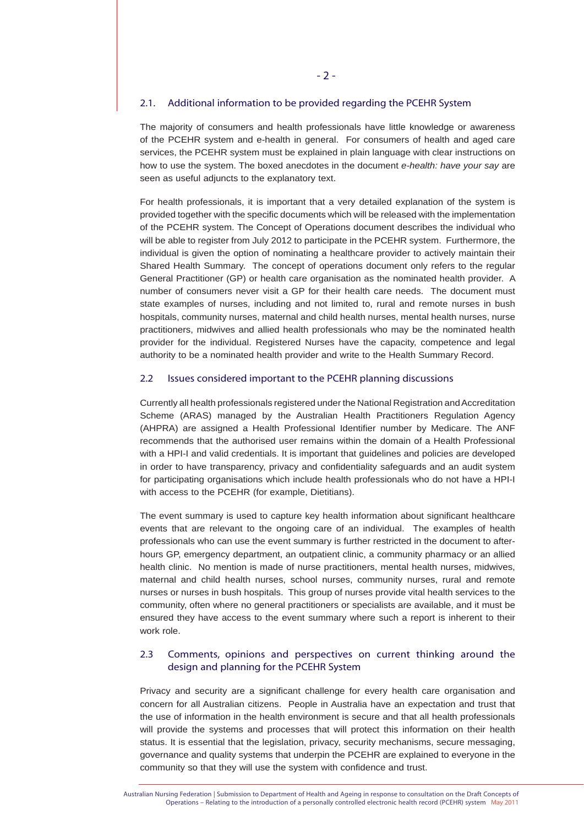#### 2.1. Additional information to be provided regarding the PCEHR System

The majority of consumers and health professionals have little knowledge or awareness of the PCEHR system and e-health in general. For consumers of health and aged care services, the PCEHR system must be explained in plain language with clear instructions on how to use the system. The boxed anecdotes in the document *e-health: have your say* are seen as useful adjuncts to the explanatory text.

For health professionals, it is important that a very detailed explanation of the system is provided together with the specific documents which will be released with the implementation of the PCEHR system. The Concept of Operations document describes the individual who will be able to register from July 2012 to participate in the PCEHR system. Furthermore, the individual is given the option of nominating a healthcare provider to actively maintain their Shared Health Summary. The concept of operations document only refers to the regular General Practitioner (GP) or health care organisation as the nominated health provider. A number of consumers never visit a GP for their health care needs. The document must state examples of nurses, including and not limited to, rural and remote nurses in bush hospitals, community nurses, maternal and child health nurses, mental health nurses, nurse practitioners, midwives and allied health professionals who may be the nominated health provider for the individual. Registered Nurses have the capacity, competence and legal authority to be a nominated health provider and write to the Health Summary Record.

#### 2.2 Issues considered important to the PCEHR planning discussions

Currently all health professionals registered under the National Registration and Accreditation Scheme (ARAS) managed by the Australian Health Practitioners Regulation Agency (AHPRA) are assigned a Health Professional Identifier number by Medicare. The ANF recommends that the authorised user remains within the domain of a Health Professional with a HPI-I and valid credentials. It is important that guidelines and policies are developed in order to have transparency, privacy and confidentiality safeguards and an audit system for participating organisations which include health professionals who do not have a HPI-I with access to the PCEHR (for example, Dietitians).

The event summary is used to capture key health information about significant healthcare events that are relevant to the ongoing care of an individual. The examples of health professionals who can use the event summary is further restricted in the document to afterhours GP, emergency department, an outpatient clinic, a community pharmacy or an allied health clinic. No mention is made of nurse practitioners, mental health nurses, midwives, maternal and child health nurses, school nurses, community nurses, rural and remote nurses or nurses in bush hospitals. This group of nurses provide vital health services to the community, often where no general practitioners or specialists are available, and it must be ensured they have access to the event summary where such a report is inherent to their work role.

## 2.3 Comments, opinions and perspectives on current thinking around the design and planning for the PCEHR System

Privacy and security are a significant challenge for every health care organisation and concern for all Australian citizens. People in Australia have an expectation and trust that the use of information in the health environment is secure and that all health professionals will provide the systems and processes that will protect this information on their health status. It is essential that the legislation, privacy, security mechanisms, secure messaging, governance and quality systems that underpin the PCEHR are explained to everyone in the community so that they will use the system with confidence and trust.

Australian Nursing Federation | Submission to Department of Health and Ageing in response to consultation on the Draft Concepts of Operations – Relating to the introduction of a personally controlled electronic health record (PCEHR) system May 2011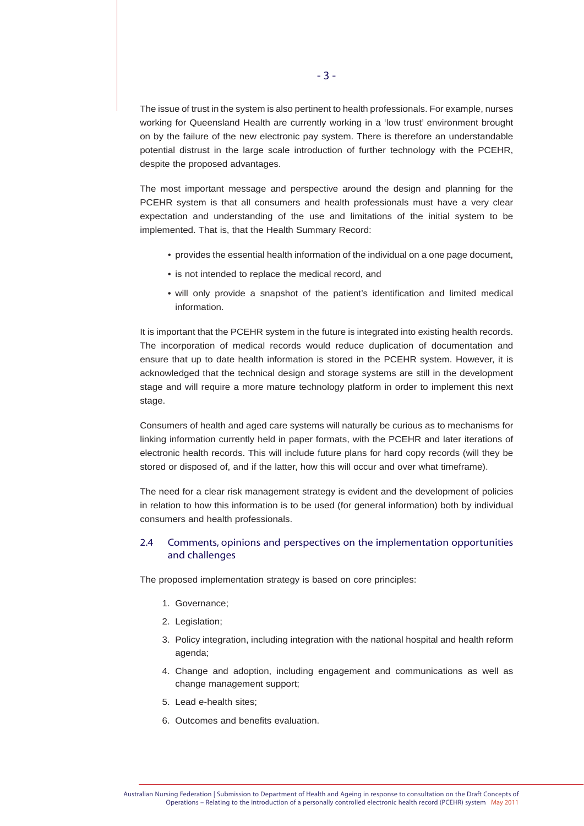The issue of trust in the system is also pertinent to health professionals. For example, nurses working for Queensland Health are currently working in a 'low trust' environment brought on by the failure of the new electronic pay system. There is therefore an understandable potential distrust in the large scale introduction of further technology with the PCEHR, despite the proposed advantages.

The most important message and perspective around the design and planning for the PCEHR system is that all consumers and health professionals must have a very clear expectation and understanding of the use and limitations of the initial system to be implemented. That is, that the Health Summary Record:

- provides the essential health information of the individual on a one page document,
- is not intended to replace the medical record, and
- will only provide a snapshot of the patient's identification and limited medical information.

It is important that the PCEHR system in the future is integrated into existing health records. The incorporation of medical records would reduce duplication of documentation and ensure that up to date health information is stored in the PCEHR system. However, it is acknowledged that the technical design and storage systems are still in the development stage and will require a more mature technology platform in order to implement this next stage.

Consumers of health and aged care systems will naturally be curious as to mechanisms for linking information currently held in paper formats, with the PCEHR and later iterations of electronic health records. This will include future plans for hard copy records (will they be stored or disposed of, and if the latter, how this will occur and over what timeframe).

The need for a clear risk management strategy is evident and the development of policies in relation to how this information is to be used (for general information) both by individual consumers and health professionals.

# 2.4 Comments, opinions and perspectives on the implementation opportunities and challenges

The proposed implementation strategy is based on core principles:

- 1. Governance;
- 2. Legislation;
- 3. Policy integration, including integration with the national hospital and health reform agenda;
- 4. Change and adoption, including engagement and communications as well as change management support;
- 5. Lead e-health sites;
- 6. Outcomes and benefits evaluation.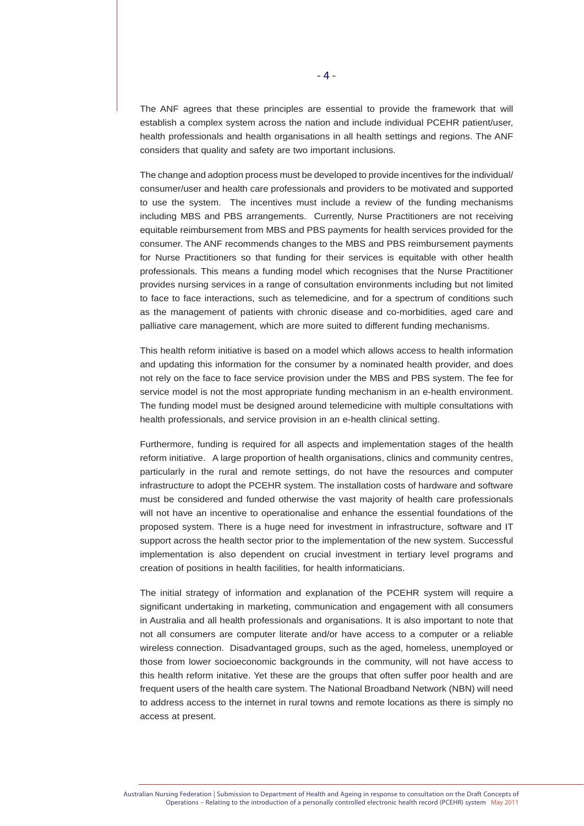The ANF agrees that these principles are essential to provide the framework that will establish a complex system across the nation and include individual PCEHR patient/user, health professionals and health organisations in all health settings and regions. The ANF considers that quality and safety are two important inclusions.

The change and adoption process must be developed to provide incentives for the individual/ consumer/user and health care professionals and providers to be motivated and supported to use the system. The incentives must include a review of the funding mechanisms including MBS and PBS arrangements. Currently, Nurse Practitioners are not receiving equitable reimbursement from MBS and PBS payments for health services provided for the consumer. The ANF recommends changes to the MBS and PBS reimbursement payments for Nurse Practitioners so that funding for their services is equitable with other health professionals. This means a funding model which recognises that the Nurse Practitioner provides nursing services in a range of consultation environments including but not limited to face to face interactions, such as telemedicine, and for a spectrum of conditions such as the management of patients with chronic disease and co-morbidities, aged care and palliative care management, which are more suited to different funding mechanisms.

This health reform initiative is based on a model which allows access to health information and updating this information for the consumer by a nominated health provider, and does not rely on the face to face service provision under the MBS and PBS system. The fee for service model is not the most appropriate funding mechanism in an e-health environment. The funding model must be designed around telemedicine with multiple consultations with health professionals, and service provision in an e-health clinical setting.

Furthermore, funding is required for all aspects and implementation stages of the health reform initiative. A large proportion of health organisations, clinics and community centres, particularly in the rural and remote settings, do not have the resources and computer infrastructure to adopt the PCEHR system. The installation costs of hardware and software must be considered and funded otherwise the vast majority of health care professionals will not have an incentive to operationalise and enhance the essential foundations of the proposed system. There is a huge need for investment in infrastructure, software and IT support across the health sector prior to the implementation of the new system. Successful implementation is also dependent on crucial investment in tertiary level programs and creation of positions in health facilities, for health informaticians.

The initial strategy of information and explanation of the PCEHR system will require a significant undertaking in marketing, communication and engagement with all consumers in Australia and all health professionals and organisations. It is also important to note that not all consumers are computer literate and/or have access to a computer or a reliable wireless connection. Disadvantaged groups, such as the aged, homeless, unemployed or those from lower socioeconomic backgrounds in the community, will not have access to this health reform initative. Yet these are the groups that often suffer poor health and are frequent users of the health care system. The National Broadband Network (NBN) will need to address access to the internet in rural towns and remote locations as there is simply no access at present.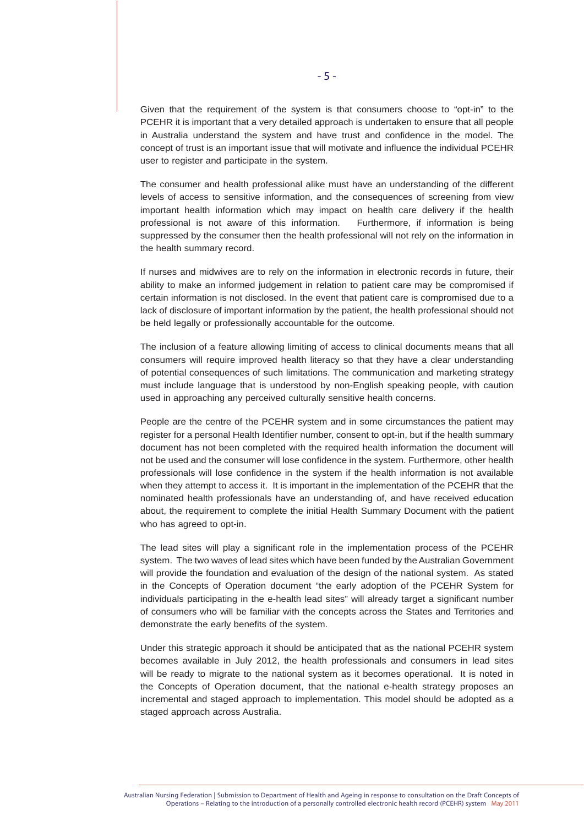Given that the requirement of the system is that consumers choose to "opt-in" to the PCEHR it is important that a very detailed approach is undertaken to ensure that all people in Australia understand the system and have trust and confidence in the model. The concept of trust is an important issue that will motivate and influence the individual PCEHR user to register and participate in the system.

The consumer and health professional alike must have an understanding of the different levels of access to sensitive information, and the consequences of screening from view important health information which may impact on health care delivery if the health professional is not aware of this information. Furthermore, if information is being suppressed by the consumer then the health professional will not rely on the information in the health summary record.

If nurses and midwives are to rely on the information in electronic records in future, their ability to make an informed judgement in relation to patient care may be compromised if certain information is not disclosed. In the event that patient care is compromised due to a lack of disclosure of important information by the patient, the health professional should not be held legally or professionally accountable for the outcome.

The inclusion of a feature allowing limiting of access to clinical documents means that all consumers will require improved health literacy so that they have a clear understanding of potential consequences of such limitations. The communication and marketing strategy must include language that is understood by non-English speaking people, with caution used in approaching any perceived culturally sensitive health concerns.

People are the centre of the PCEHR system and in some circumstances the patient may register for a personal Health Identifier number, consent to opt-in, but if the health summary document has not been completed with the required health information the document will not be used and the consumer will lose confidence in the system. Furthermore, other health professionals will lose confidence in the system if the health information is not available when they attempt to access it. It is important in the implementation of the PCEHR that the nominated health professionals have an understanding of, and have received education about, the requirement to complete the initial Health Summary Document with the patient who has agreed to opt-in.

The lead sites will play a significant role in the implementation process of the PCEHR system. The two waves of lead sites which have been funded by the Australian Government will provide the foundation and evaluation of the design of the national system. As stated in the Concepts of Operation document "the early adoption of the PCEHR System for individuals participating in the e-health lead sites" will already target a significant number of consumers who will be familiar with the concepts across the States and Territories and demonstrate the early benefits of the system.

Under this strategic approach it should be anticipated that as the national PCEHR system becomes available in July 2012, the health professionals and consumers in lead sites will be ready to migrate to the national system as it becomes operational. It is noted in the Concepts of Operation document, that the national e-health strategy proposes an incremental and staged approach to implementation. This model should be adopted as a staged approach across Australia.

Australian Nursing Federation | Submission to Department of Health and Ageing in response to consultation on the Draft Concepts of Operations – Relating to the introduction of a personally controlled electronic health record (PCEHR) system May 2011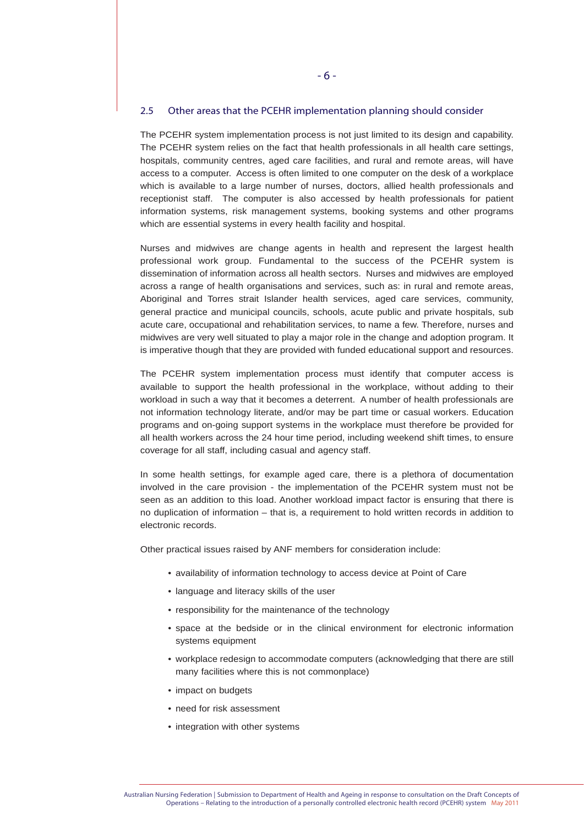#### 2.5 Other areas that the PCEHR implementation planning should consider

The PCEHR system implementation process is not just limited to its design and capability. The PCEHR system relies on the fact that health professionals in all health care settings, hospitals, community centres, aged care facilities, and rural and remote areas, will have access to a computer. Access is often limited to one computer on the desk of a workplace which is available to a large number of nurses, doctors, allied health professionals and receptionist staff. The computer is also accessed by health professionals for patient information systems, risk management systems, booking systems and other programs which are essential systems in every health facility and hospital.

Nurses and midwives are change agents in health and represent the largest health professional work group. Fundamental to the success of the PCEHR system is dissemination of information across all health sectors. Nurses and midwives are employed across a range of health organisations and services, such as: in rural and remote areas, Aboriginal and Torres strait Islander health services, aged care services, community, general practice and municipal councils, schools, acute public and private hospitals, sub acute care, occupational and rehabilitation services, to name a few. Therefore, nurses and midwives are very well situated to play a major role in the change and adoption program. It is imperative though that they are provided with funded educational support and resources.

The PCEHR system implementation process must identify that computer access is available to support the health professional in the workplace, without adding to their workload in such a way that it becomes a deterrent. A number of health professionals are not information technology literate, and/or may be part time or casual workers. Education programs and on-going support systems in the workplace must therefore be provided for all health workers across the 24 hour time period, including weekend shift times, to ensure coverage for all staff, including casual and agency staff.

In some health settings, for example aged care, there is a plethora of documentation involved in the care provision - the implementation of the PCEHR system must not be seen as an addition to this load. Another workload impact factor is ensuring that there is no duplication of information – that is, a requirement to hold written records in addition to electronic records.

Other practical issues raised by ANF members for consideration include:

- availability of information technology to access device at Point of Care
- language and literacy skills of the user
- responsibility for the maintenance of the technology
- space at the bedside or in the clinical environment for electronic information systems equipment
- workplace redesign to accommodate computers (acknowledging that there are still many facilities where this is not commonplace)
- impact on budgets
- need for risk assessment
- integration with other systems